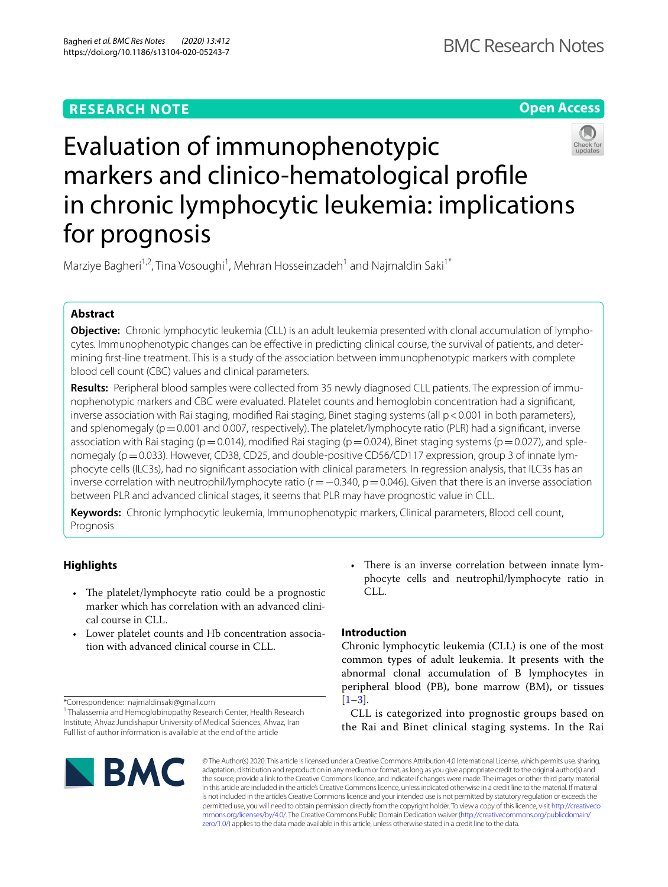## **RESEARCH NOTE**

**Open Access**



# Evaluation of immunophenotypic markers and clinico-hematological profle in chronic lymphocytic leukemia: implications for prognosis

Marziye Bagheri<sup>1,2</sup>, Tina Vosoughi<sup>1</sup>, Mehran Hosseinzadeh<sup>1</sup> and Najmaldin Saki<sup>1\*</sup>

## **Abstract**

**Objective:** Chronic lymphocytic leukemia (CLL) is an adult leukemia presented with clonal accumulation of lymphocytes. Immunophenotypic changes can be efective in predicting clinical course, the survival of patients, and determining frst-line treatment. This is a study of the association between immunophenotypic markers with complete blood cell count (CBC) values and clinical parameters.

**Results:** Peripheral blood samples were collected from 35 newly diagnosed CLL patients. The expression of immunophenotypic markers and CBC were evaluated. Platelet counts and hemoglobin concentration had a signifcant, inverse association with Rai staging, modified Rai staging, Binet staging systems (all p<0.001 in both parameters), and splenomegaly ( $p=0.001$  and 0.007, respectively). The platelet/lymphocyte ratio (PLR) had a significant, inverse association with Rai staging ( $p=0.014$ ), modified Rai staging ( $p=0.024$ ), Binet staging systems ( $p=0.027$ ), and splenomegaly (p=0.033). However, CD38, CD25, and double-positive CD56/CD117 expression, group 3 of innate lymphocyte cells (ILC3s), had no signifcant association with clinical parameters. In regression analysis, that ILC3s has an inverse correlation with neutrophil/lymphocyte ratio ( $r=-0.340$ ,  $p=0.046$ ). Given that there is an inverse association between PLR and advanced clinical stages, it seems that PLR may have prognostic value in CLL.

**Keywords:** Chronic lymphocytic leukemia, Immunophenotypic markers, Clinical parameters, Blood cell count, Prognosis

## **Highlights**

- The platelet/lymphocyte ratio could be a prognostic marker which has correlation with an advanced clinical course in CLL.
- Lower platelet counts and Hb concentration association with advanced clinical course in CLL.

<sup>1</sup> Thalassemia and Hemoglobinopathy Research Center, Health Research Institute, Ahvaz Jundishapur University of Medical Sciences, Ahvaz, Iran Full list of author information is available at the end of the article



There is an inverse correlation between innate lymphocyte cells and neutrophil/lymphocyte ratio in CLL.

## **Introduction**

Chronic lymphocytic leukemia (CLL) is one of the most common types of adult leukemia. It presents with the abnormal clonal accumulation of B lymphocytes in peripheral blood (PB), bone marrow (BM), or tissues  $[1-3]$  $[1-3]$ .

CLL is categorized into prognostic groups based on the Rai and Binet clinical staging systems. In the Rai

© The Author(s) 2020. This article is licensed under a Creative Commons Attribution 4.0 International License, which permits use, sharing, adaptation, distribution and reproduction in any medium or format, as long as you give appropriate credit to the original author(s) and the source, provide a link to the Creative Commons licence, and indicate if changes were made. The images or other third party material in this article are included in the article's Creative Commons licence, unless indicated otherwise in a credit line to the material. If material is not included in the article's Creative Commons licence and your intended use is not permitted by statutory regulation or exceeds the permitted use, you will need to obtain permission directly from the copyright holder. To view a copy of this licence, visit [http://creativeco](http://creativecommons.org/licenses/by/4.0/) [mmons.org/licenses/by/4.0/.](http://creativecommons.org/licenses/by/4.0/) The Creative Commons Public Domain Dedication waiver ([http://creativecommons.org/publicdomain/](http://creativecommons.org/publicdomain/zero/1.0/) [zero/1.0/\)](http://creativecommons.org/publicdomain/zero/1.0/) applies to the data made available in this article, unless otherwise stated in a credit line to the data.

<sup>\*</sup>Correspondence: najmaldinsaki@gmail.com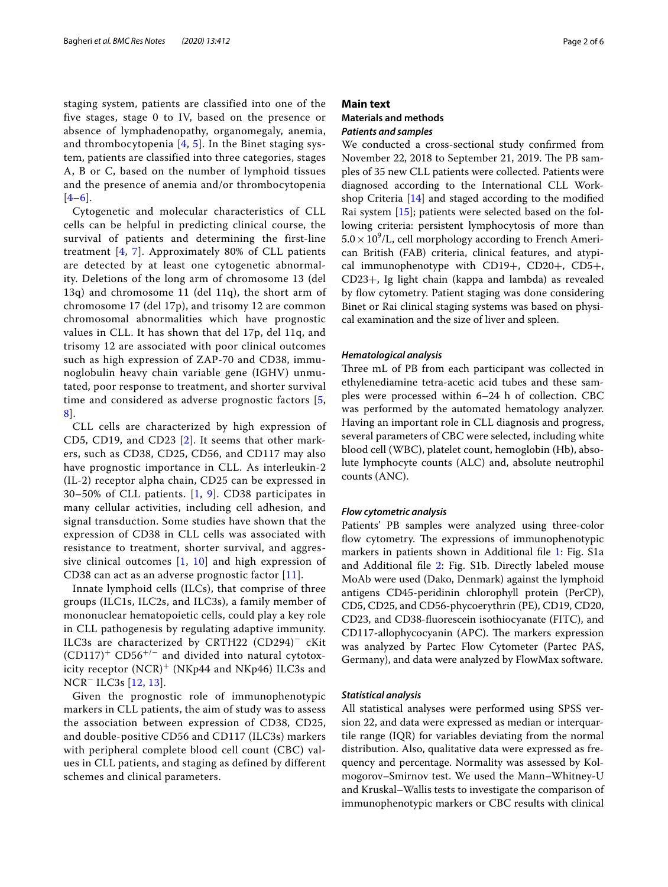staging system, patients are classified into one of the five stages, stage 0 to IV, based on the presence or absence of lymphadenopathy, organomegaly, anemia, and thrombocytopenia  $[4, 5]$  $[4, 5]$  $[4, 5]$  $[4, 5]$ . In the Binet staging system, patients are classified into three categories, stages A, B or C, based on the number of lymphoid tissues and the presence of anemia and/or thrombocytopenia  $[4-6]$  $[4-6]$  $[4-6]$ .

Cytogenetic and molecular characteristics of CLL cells can be helpful in predicting clinical course, the survival of patients and determining the first-line treatment [\[4](#page-5-2), [7](#page-5-5)]. Approximately 80% of CLL patients are detected by at least one cytogenetic abnormality. Deletions of the long arm of chromosome 13 (del 13q) and chromosome 11 (del 11q), the short arm of chromosome 17 (del 17p), and trisomy 12 are common chromosomal abnormalities which have prognostic values in CLL. It has shown that del 17p, del 11q, and trisomy 12 are associated with poor clinical outcomes such as high expression of ZAP-70 and CD38, immunoglobulin heavy chain variable gene (IGHV) unmutated, poor response to treatment, and shorter survival time and considered as adverse prognostic factors [\[5](#page-5-3), [8\]](#page-5-6).

CLL cells are characterized by high expression of CD5, CD19, and CD23 [[2](#page-5-7)]. It seems that other markers, such as CD38, CD25, CD56, and CD117 may also have prognostic importance in CLL. As interleukin-2 (IL-2) receptor alpha chain, CD25 can be expressed in 30–50% of CLL patients. [\[1](#page-5-0), [9\]](#page-5-8). CD38 participates in many cellular activities, including cell adhesion, and signal transduction. Some studies have shown that the expression of CD38 in CLL cells was associated with resistance to treatment, shorter survival, and aggressive clinical outcomes [[1,](#page-5-0) [10](#page-5-9)] and high expression of CD38 can act as an adverse prognostic factor [[11](#page-5-10)].

Innate lymphoid cells (ILCs), that comprise of three groups (ILC1s, ILC2s, and ILC3s), a family member of mononuclear hematopoietic cells, could play a key role in CLL pathogenesis by regulating adaptive immunity. ILC3s are characterized by CRTH22 (CD294)<sup>−</sup> cKit  $(CD117)^+$  CD56<sup>+/−</sup> and divided into natural cytotoxicity receptor  $(NCR)^+$  (NKp44 and NKp46) ILC3s and NCR<sup>−</sup> ILC3s [[12](#page-5-11), [13](#page-5-12)].

Given the prognostic role of immunophenotypic markers in CLL patients, the aim of study was to assess the association between expression of CD38, CD25, and double-positive CD56 and CD117 (ILC3s) markers with peripheral complete blood cell count (CBC) values in CLL patients, and staging as defined by different schemes and clinical parameters.

#### **Main text**

## **Materials and methods** *Patients and samples*

We conducted a cross-sectional study confrmed from November 22, 2018 to September 21, 2019. The PB samples of 35 new CLL patients were collected. Patients were diagnosed according to the International CLL Workshop Criteria [[14\]](#page-5-13) and staged according to the modifed Rai system [\[15](#page-5-14)]; patients were selected based on the following criteria: persistent lymphocytosis of more than  $5.0 \times 10^9$ /L, cell morphology according to French American British (FAB) criteria, clinical features, and atypical immunophenotype with CD19+, CD20+, CD5+, CD23+, Ig light chain (kappa and lambda) as revealed by flow cytometry. Patient staging was done considering Binet or Rai clinical staging systems was based on physical examination and the size of liver and spleen.

## *Hematological analysis*

Three mL of PB from each participant was collected in ethylenediamine tetra-acetic acid tubes and these samples were processed within 6–24 h of collection. CBC was performed by the automated hematology analyzer. Having an important role in CLL diagnosis and progress, several parameters of CBC were selected, including white blood cell (WBC), platelet count, hemoglobin (Hb), absolute lymphocyte counts (ALC) and, absolute neutrophil counts (ANC).

## *Flow cytometric analysis*

Patients' PB samples were analyzed using three-color flow cytometry. The expressions of immunophenotypic markers in patients shown in Additional fle [1:](#page-4-0) Fig. S1a and Additional fle [2:](#page-4-1) Fig. S1b. Directly labeled mouse MoAb were used (Dako, Denmark) against the lymphoid antigens CD45-peridinin chlorophyll protein (PerCP), CD5, CD25, and CD56-phycoerythrin (PE), CD19, CD20, CD23, and CD38-fuorescein isothiocyanate (FITC), and CD117-allophycocyanin (APC). The markers expression was analyzed by Partec Flow Cytometer (Partec PAS, Germany), and data were analyzed by FlowMax software.

## *Statistical analysis*

All statistical analyses were performed using SPSS version 22, and data were expressed as median or interquartile range (IQR) for variables deviating from the normal distribution. Also, qualitative data were expressed as frequency and percentage. Normality was assessed by Kolmogorov–Smirnov test. We used the Mann–Whitney-U and Kruskal–Wallis tests to investigate the comparison of immunophenotypic markers or CBC results with clinical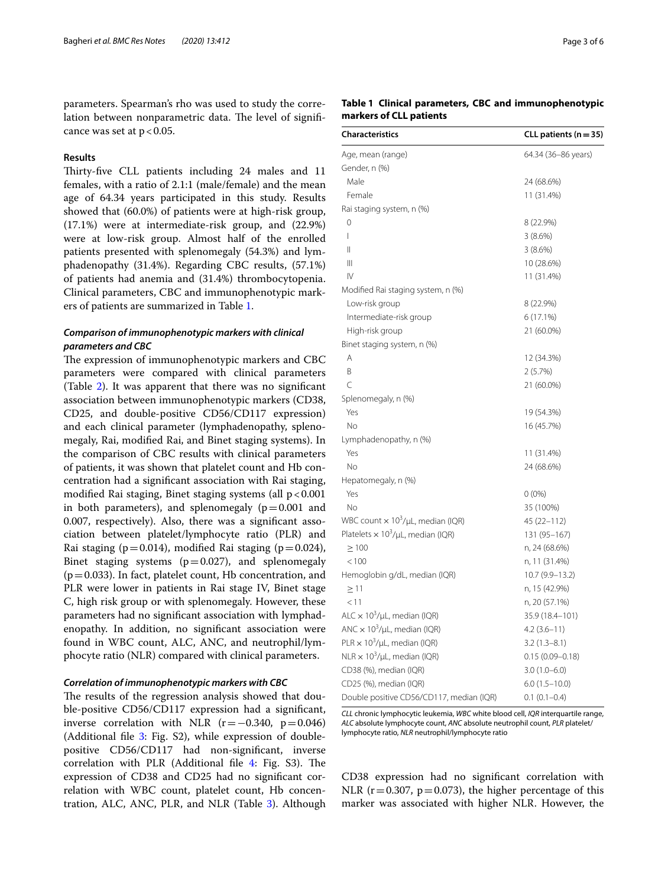parameters. Spearman's rho was used to study the correlation between nonparametric data. The level of significance was set at  $p < 0.05$ .

## **Results**

Thirty-five CLL patients including 24 males and 11 females, with a ratio of 2.1:1 (male/female) and the mean age of 64.34 years participated in this study. Results showed that (60.0%) of patients were at high-risk group, (17.1%) were at intermediate-risk group, and (22.9%) were at low-risk group. Almost half of the enrolled patients presented with splenomegaly (54.3%) and lymphadenopathy (31.4%). Regarding CBC results, (57.1%) of patients had anemia and (31.4%) thrombocytopenia. Clinical parameters, CBC and immunophenotypic markers of patients are summarized in Table [1](#page-2-0).

## *Comparison of immunophenotypic markers with clinical parameters and CBC*

The expression of immunophenotypic markers and CBC parameters were compared with clinical parameters (Table [2\)](#page-3-0). It was apparent that there was no signifcant association between immunophenotypic markers (CD38, CD25, and double-positive CD56/CD117 expression) and each clinical parameter (lymphadenopathy, splenomegaly, Rai, modifed Rai, and Binet staging systems). In the comparison of CBC results with clinical parameters of patients, it was shown that platelet count and Hb concentration had a signifcant association with Rai staging, modifed Rai staging, Binet staging systems (all p<0.001 in both parameters), and splenomegaly  $(p=0.001$  and 0.007, respectively). Also, there was a signifcant association between platelet/lymphocyte ratio (PLR) and Rai staging ( $p=0.014$ ), modified Rai staging ( $p=0.024$ ), Binet staging systems  $(p=0.027)$ , and splenomegaly  $(p=0.033)$ . In fact, platelet count, Hb concentration, and PLR were lower in patients in Rai stage IV, Binet stage C, high risk group or with splenomegaly. However, these parameters had no signifcant association with lymphadenopathy. In addition, no signifcant association were found in WBC count, ALC, ANC, and neutrophil/lymphocyte ratio (NLR) compared with clinical parameters.

## *Correlation of immunophenotypic markers with CBC*

The results of the regression analysis showed that double-positive CD56/CD117 expression had a signifcant, inverse correlation with NLR  $(r=-0.340, p=0.046)$ (Additional file  $3$ : Fig. S2), while expression of doublepositive CD56/CD117 had non-signifcant, inverse correlation with PLR (Additional file  $4$ : Fig. S3). The expression of CD38 and CD25 had no signifcant correlation with WBC count, platelet count, Hb concentration, ALC, ANC, PLR, and NLR (Table [3\)](#page-3-1). Although

## <span id="page-2-0"></span>**Table 1 Clinical parameters, CBC and immunophenotypic markers of CLL patients**

| <b>Characteristics</b>                         | CLL patients $(n=35)$ |
|------------------------------------------------|-----------------------|
| Age, mean (range)                              | 64.34 (36-86 years)   |
| Gender, n (%)                                  |                       |
| Male                                           | 24 (68.6%)            |
| Female                                         | 11 (31.4%)            |
| Rai staging system, n (%)                      |                       |
| 0                                              | 8 (22.9%)             |
| L                                              | 3(8.6%)               |
| $\mathsf{II}$                                  | 3(8.6%)               |
| Ш                                              | 10 (28.6%)            |
| IV                                             | 11 (31.4%)            |
| Modified Rai staging system, n (%)             |                       |
| Low-risk group                                 | 8 (22.9%)             |
| Intermediate-risk group                        | 6 (17.1%)             |
| High-risk group                                | 21 (60.0%)            |
| Binet staging system, n (%)                    |                       |
| A                                              | 12 (34.3%)            |
| B                                              | 2(5.7%)               |
| Ċ                                              | 21 (60.0%)            |
| Splenomegaly, n (%)                            |                       |
| Yes                                            | 19 (54.3%)            |
| Νo                                             | 16 (45.7%)            |
| Lymphadenopathy, n (%)                         |                       |
| Yes                                            | 11 (31.4%)            |
| No                                             | 24 (68.6%)            |
| Hepatomegaly, n (%)                            |                       |
| Yes                                            | $0(0\%)$              |
| No                                             | 35 (100%)             |
| WBC count $\times 10^3$ /µL, median (IQR)      | 45 (22 - 112)         |
| Platelets x 10 <sup>3</sup> /µL, median (IQR)  | 131 (95-167)          |
| $\geq 100$                                     | n, 24 (68.6%)         |
| < 100                                          | n, 11 (31.4%)         |
| Hemoglobin g/dL, median (IQR)                  | 10.7 (9.9-13.2)       |
| $\geq$ 11                                      | n, 15 (42.9%)         |
| < 11                                           | n, 20 (57.1%)         |
| ALC $\times$ 10 <sup>3</sup> /µL, median (IQR) | 35.9 (18.4-101)       |
| ANC $\times$ 10 <sup>3</sup> /µL, median (IQR) | $4.2(3.6-11)$         |
| PLR $\times$ 10 <sup>3</sup> /µL, median (IQR) | $3.2(1.3 - 8.1)$      |
| NLR $\times$ 10 <sup>3</sup> /µL, median (IQR) | $0.15(0.09 - 0.18)$   |
| CD38 (%), median (IQR)                         | $3.0(1.0-6.0)$        |
| CD25 (%), median (IQR)                         | $6.0(1.5-10.0)$       |
| Double positive CD56/CD117, median (IQR)       | $0.1(0.1 - 0.4)$      |

*CLL* chronic lymphocytic leukemia, *WBC* white blood cell, *IQR* interquartile range, *ALC* absolute lymphocyte count, *ANC* absolute neutrophil count, *PLR* platelet/ lymphocyte ratio, *NLR* neutrophil/lymphocyte ratio

CD38 expression had no signifcant correlation with NLR ( $r=0.307$ ,  $p=0.073$ ), the higher percentage of this marker was associated with higher NLR. However, the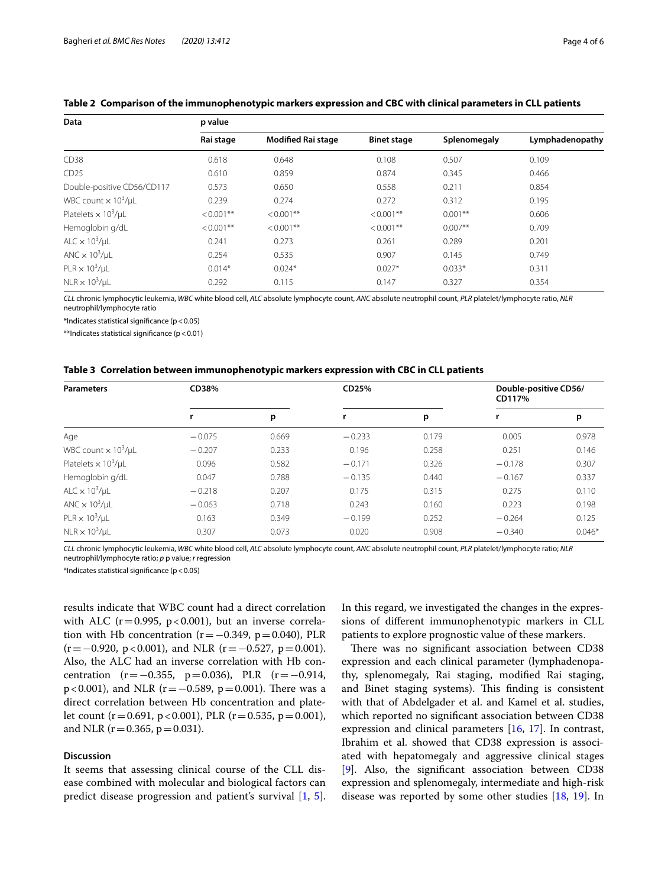| Data                                   | p value      |                           |                    |              |                 |  |  |
|----------------------------------------|--------------|---------------------------|--------------------|--------------|-----------------|--|--|
|                                        | Rai stage    | <b>Modified Rai stage</b> | <b>Binet stage</b> | Splenomegaly | Lymphadenopathy |  |  |
| CD <sub>38</sub>                       | 0.618        | 0.648                     | 0.108              | 0.507        | 0.109           |  |  |
| CD25                                   | 0.610        | 0.859                     | 0.874              | 0.345        | 0.466           |  |  |
| Double-positive CD56/CD117             | 0.573        | 0.650                     | 0.558              | 0.211        | 0.854           |  |  |
| WBC count $\times$ 10 <sup>3</sup> /uL | 0.239        | 0.274                     | 0.272              | 0.312        | 0.195           |  |  |
| Platelets $\times 10^3/\mu L$          | $< 0.001$ ** | $< 0.001$ **              | $< 0.001$ **       | $0.001**$    | 0.606           |  |  |
| Hemoglobin g/dL                        | $< 0.001$ ** | $< 0.001$ **              | $< 0.001$ **       | $0.007**$    | 0.709           |  |  |
| ALC $\times$ 10 <sup>3</sup> /µL       | 0.241        | 0.273                     | 0.261              | 0.289        | 0.201           |  |  |
| ANC $\times$ 10 <sup>3</sup> /µL       | 0.254        | 0.535                     | 0.907              | 0.145        | 0.749           |  |  |
| PLR $\times$ 10 <sup>3</sup> /µL       | $0.014*$     | $0.024*$                  | $0.027*$           | $0.033*$     | 0.311           |  |  |
| NLR $\times$ 10 <sup>3</sup> /uL       | 0.292        | 0.115                     | 0.147              | 0.327        | 0.354           |  |  |

## <span id="page-3-0"></span>**Table 2 Comparison of the immunophenotypic markers expression and CBC with clinical parameters in CLL patients**

*CLL* chronic lymphocytic leukemia, *WBC* white blood cell, *ALC* absolute lymphocyte count, *ANC* absolute neutrophil count, *PLR* platelet/lymphocyte ratio, *NLR* neutrophil/lymphocyte ratio

\*Indicates statistical signifcance (p<0.05)

\*\*Indicates statistical signifcance (p<0.01)

#### <span id="page-3-1"></span>**Table 3 Correlation between immunophenotypic markers expression with CBC in CLL patients**

| <b>Parameters</b>                      | CD38%    |       | CD25%    |       | Double-positive CD56/<br>CD117% |          |
|----------------------------------------|----------|-------|----------|-------|---------------------------------|----------|
|                                        |          | p     |          | p     | r                               | p        |
| Age                                    | $-0.075$ | 0.669 | $-0.233$ | 0.179 | 0.005                           | 0.978    |
| WBC count $\times$ 10 <sup>3</sup> /µL | $-0.207$ | 0.233 | 0.196    | 0.258 | 0.251                           | 0.146    |
| Platelets $\times$ 10 <sup>3</sup> /µL | 0.096    | 0.582 | $-0.171$ | 0.326 | $-0.178$                        | 0.307    |
| Hemoglobin g/dL                        | 0.047    | 0.788 | $-0.135$ | 0.440 | $-0.167$                        | 0.337    |
| ALC $\times$ 10 <sup>3</sup> /µL       | $-0.218$ | 0.207 | 0.175    | 0.315 | 0.275                           | 0.110    |
| ANC $\times$ 10 <sup>3</sup> /µL       | $-0.063$ | 0.718 | 0.243    | 0.160 | 0.223                           | 0.198    |
| $PLR \times 10^3/\mu L$                | 0.163    | 0.349 | $-0.199$ | 0.252 | $-0.264$                        | 0.125    |
| $NLR \times 10^3/\mu L$                | 0.307    | 0.073 | 0.020    | 0.908 | $-0.340$                        | $0.046*$ |

*CLL* chronic lymphocytic leukemia, *WBC* white blood cell, *ALC* absolute lymphocyte count, *ANC* absolute neutrophil count, *PLR* platelet/lymphocyte ratio; *NLR* neutrophil/lymphocyte ratio; *p* p value; *r* regression

\*Indicates statistical signifcance (p<0.05)

results indicate that WBC count had a direct correlation with ALC ( $r = 0.995$ ,  $p < 0.001$ ), but an inverse correlation with Hb concentration ( $r = -0.349$ ,  $p = 0.040$ ), PLR  $(r=-0.920, p<0.001)$ , and NLR  $(r=-0.527, p=0.001)$ . Also, the ALC had an inverse correlation with Hb concentration ( $r = -0.355$ ,  $p = 0.036$ ), PLR ( $r = -0.914$ ) p<0.001), and NLR (r = −0.589, p = 0.001). There was a direct correlation between Hb concentration and platelet count (r = 0.691, p < 0.001), PLR (r = 0.535, p = 0.001), and NLR ( $r=0.365$ ,  $p=0.031$ ).

## **Discussion**

It seems that assessing clinical course of the CLL disease combined with molecular and biological factors can predict disease progression and patient's survival [\[1](#page-5-0), [5](#page-5-3)]. In this regard, we investigated the changes in the expressions of diferent immunophenotypic markers in CLL patients to explore prognostic value of these markers.

There was no significant association between CD38 expression and each clinical parameter (lymphadenopathy, splenomegaly, Rai staging, modifed Rai staging, and Binet staging systems). This finding is consistent with that of Abdelgader et al. and Kamel et al. studies, which reported no signifcant association between CD38 expression and clinical parameters [[16,](#page-5-15) [17](#page-5-16)]. In contrast, Ibrahim et al. showed that CD38 expression is associated with hepatomegaly and aggressive clinical stages [[9\]](#page-5-8). Also, the signifcant association between CD38 expression and splenomegaly, intermediate and high-risk disease was reported by some other studies [\[18](#page-5-17), [19\]](#page-5-18). In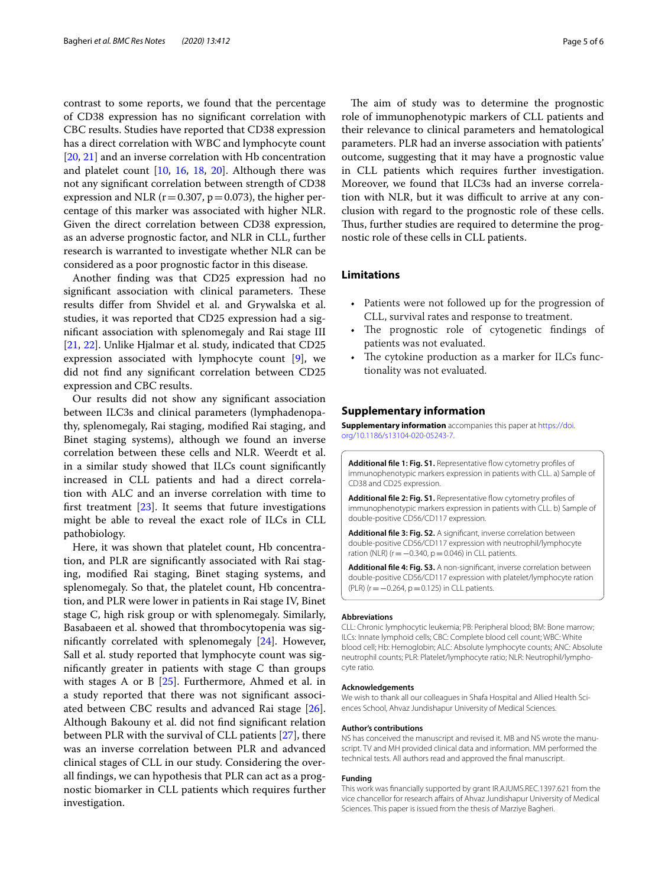contrast to some reports, we found that the percentage of CD38 expression has no signifcant correlation with CBC results. Studies have reported that CD38 expression has a direct correlation with WBC and lymphocyte count [[20,](#page-5-19) [21](#page-5-20)] and an inverse correlation with Hb concentration and platelet count [\[10](#page-5-9), [16](#page-5-15), [18](#page-5-17), [20](#page-5-19)]. Although there was not any signifcant correlation between strength of CD38 expression and NLR ( $r=0.307$ ,  $p=0.073$ ), the higher percentage of this marker was associated with higher NLR. Given the direct correlation between CD38 expression, as an adverse prognostic factor, and NLR in CLL, further research is warranted to investigate whether NLR can be considered as a poor prognostic factor in this disease.

Another fnding was that CD25 expression had no significant association with clinical parameters. These results difer from Shvidel et al. and Grywalska et al. studies, it was reported that CD25 expression had a signifcant association with splenomegaly and Rai stage III [[21,](#page-5-20) [22](#page-5-21)]. Unlike Hjalmar et al. study, indicated that CD25 expression associated with lymphocyte count [\[9](#page-5-8)], we did not fnd any signifcant correlation between CD25 expression and CBC results.

Our results did not show any signifcant association between ILC3s and clinical parameters (lymphadenopathy, splenomegaly, Rai staging, modifed Rai staging, and Binet staging systems), although we found an inverse correlation between these cells and NLR. Weerdt et al. in a similar study showed that ILCs count signifcantly increased in CLL patients and had a direct correlation with ALC and an inverse correlation with time to frst treatment [\[23\]](#page-5-22). It seems that future investigations might be able to reveal the exact role of ILCs in CLL pathobiology.

Here, it was shown that platelet count, Hb concentration, and PLR are signifcantly associated with Rai staging, modifed Rai staging, Binet staging systems, and splenomegaly. So that, the platelet count, Hb concentration, and PLR were lower in patients in Rai stage IV, Binet stage C, high risk group or with splenomegaly. Similarly, Basabaeen et al. showed that thrombocytopenia was signifcantly correlated with splenomegaly [\[24\]](#page-5-23). However, Sall et al. study reported that lymphocyte count was signifcantly greater in patients with stage C than groups with stages A or B [[25\]](#page-5-24). Furthermore, Ahmed et al. in a study reported that there was not signifcant associated between CBC results and advanced Rai stage [\[26](#page-5-25)]. Although Bakouny et al. did not fnd signifcant relation between PLR with the survival of CLL patients [[27\]](#page-5-26), there was an inverse correlation between PLR and advanced clinical stages of CLL in our study. Considering the overall fndings, we can hypothesis that PLR can act as a prognostic biomarker in CLL patients which requires further investigation.

The aim of study was to determine the prognostic role of immunophenotypic markers of CLL patients and their relevance to clinical parameters and hematological parameters. PLR had an inverse association with patients' outcome, suggesting that it may have a prognostic value in CLL patients which requires further investigation. Moreover, we found that ILC3s had an inverse correlation with NLR, but it was difficult to arrive at any conclusion with regard to the prognostic role of these cells. Thus, further studies are required to determine the prognostic role of these cells in CLL patients.

## **Limitations**

- Patients were not followed up for the progression of CLL, survival rates and response to treatment.
- The prognostic role of cytogenetic findings of patients was not evaluated.
- The cytokine production as a marker for ILCs functionality was not evaluated.

## **Supplementary information**

**Supplementary information** accompanies this paper at [https://doi.](https://doi.org/10.1186/s13104-020-05243-7) [org/10.1186/s13104-020-05243-7](https://doi.org/10.1186/s13104-020-05243-7).

<span id="page-4-0"></span>Additional file 1: Fig. S1. Representative flow cytometry profiles of immunophenotypic markers expression in patients with CLL. a) Sample of CD38 and CD25 expression.

<span id="page-4-1"></span>Additional file 2: Fig. S1. Representative flow cytometry profiles of immunophenotypic markers expression in patients with CLL. b) Sample of double-positive CD56/CD117 expression.

<span id="page-4-2"></span>**Additional fle 3: Fig. S2.** A signifcant, inverse correlation between double-positive CD56/CD117 expression with neutrophil/lymphocyte ration (NLR) ( $r = -0.340$ ,  $p = 0.046$ ) in CLL patients.

<span id="page-4-3"></span>**Additional fle 4: Fig. S3.** A non-signifcant, inverse correlation between double-positive CD56/CD117 expression with platelet/lymphocyte ration (PLR) (r=−0.264, p=0.125) in CLL patients.

#### **Abbreviations**

CLL: Chronic lymphocytic leukemia; PB: Peripheral blood; BM: Bone marrow; ILCs: Innate lymphoid cells; CBC: Complete blood cell count; WBC: White blood cell; Hb: Hemoglobin; ALC: Absolute lymphocyte counts; ANC: Absolute neutrophil counts; PLR: Platelet/lymphocyte ratio; NLR: Neutrophil/lymphocyte ratio.

#### **Acknowledgements**

We wish to thank all our colleagues in Shafa Hospital and Allied Health Sciences School, Ahvaz Jundishapur University of Medical Sciences.

#### **Author's contributions**

NS has conceived the manuscript and revised it. MB and NS wrote the manuscript. TV and MH provided clinical data and information. MM performed the technical tests. All authors read and approved the fnal manuscript.

#### **Funding**

This work was fnancially supported by grant IR.AJUMS.REC.1397.621 from the vice chancellor for research afairs of Ahvaz Jundishapur University of Medical Sciences. This paper is issued from the thesis of Marziye Bagheri.